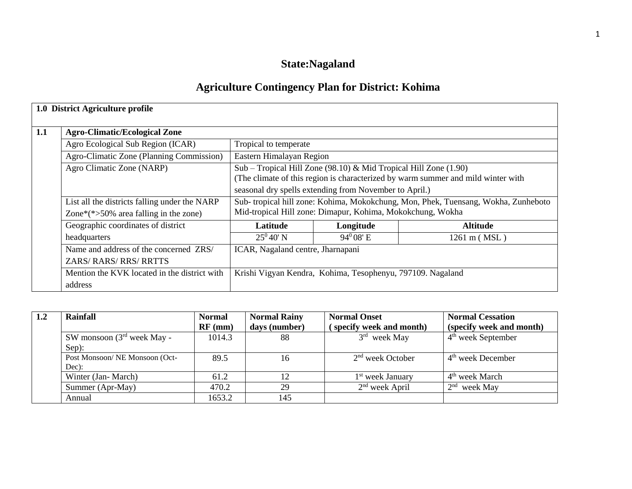# **State:Nagaland**

# **Agriculture Contingency Plan for District: Kohima**

|     | 1.0 District Agriculture profile              |                                   |                                                                  |                                                                                    |
|-----|-----------------------------------------------|-----------------------------------|------------------------------------------------------------------|------------------------------------------------------------------------------------|
| 1.1 | <b>Agro-Climatic/Ecological Zone</b>          |                                   |                                                                  |                                                                                    |
|     | Agro Ecological Sub Region (ICAR)             | Tropical to temperate             |                                                                  |                                                                                    |
|     | Agro-Climatic Zone (Planning Commission)      | Eastern Himalayan Region          |                                                                  |                                                                                    |
|     | Agro Climatic Zone (NARP)                     |                                   | Sub - Tropical Hill Zone (98.10) & Mid Tropical Hill Zone (1.90) |                                                                                    |
|     |                                               |                                   |                                                                  | (The climate of this region is characterized by warm summer and mild winter with   |
|     |                                               |                                   | seasonal dry spells extending from November to April.)           |                                                                                    |
|     | List all the districts falling under the NARP |                                   |                                                                  | Sub- tropical hill zone: Kohima, Mokokchung, Mon, Phek, Tuensang, Wokha, Zunheboto |
|     | Zone* $(*>50\%$ area falling in the zone)     |                                   | Mid-tropical Hill zone: Dimapur, Kohima, Mokokchung, Wokha       |                                                                                    |
|     | Geographic coordinates of district            | <b>Latitude</b>                   | Longitude                                                        | <b>Altitude</b>                                                                    |
|     | headquarters                                  | $25^0 40' N$                      | $94^0$ 08' E                                                     | 1261 m (MSL)                                                                       |
|     | Name and address of the concerned ZRS/        | ICAR, Nagaland centre, Jharnapani |                                                                  |                                                                                    |
|     | ZARS/RARS/RRS/RRTTS                           |                                   |                                                                  |                                                                                    |
|     | Mention the KVK located in the district with  |                                   | Krishi Vigyan Kendra, Kohima, Tesophenyu, 797109. Nagaland       |                                                                                    |
|     | address                                       |                                   |                                                                  |                                                                                    |

| 1.2 | Rainfall                       | <b>Normal</b> | <b>Normal Rainy</b> | <b>Normal Onset</b>          | <b>Normal Cessation</b>    |
|-----|--------------------------------|---------------|---------------------|------------------------------|----------------------------|
|     |                                | $RF$ (mm)     | days (number)       | (specify week and month)     | (specify week and month)   |
|     | SW monsoon $(3rd$ week May -   | 1014.3        | 88                  | $3rd$ week May               | $4th$ week September       |
|     | Sep):                          |               |                     |                              |                            |
|     | Post Monsoon/ NE Monsoon (Oct- | 89.5          | 16                  | $2nd$ week October           | $4th$ week December        |
|     | Dec):                          |               |                     |                              |                            |
|     | Winter (Jan-March)             | 61.2          | 12                  | 1 <sup>st</sup> week January | 4 <sup>th</sup> week March |
|     | Summer (Apr-May)               | 470.2         | 29                  | $2nd$ week April             | $2nd$ week May             |
|     | Annual                         | 1653.2        | 145                 |                              |                            |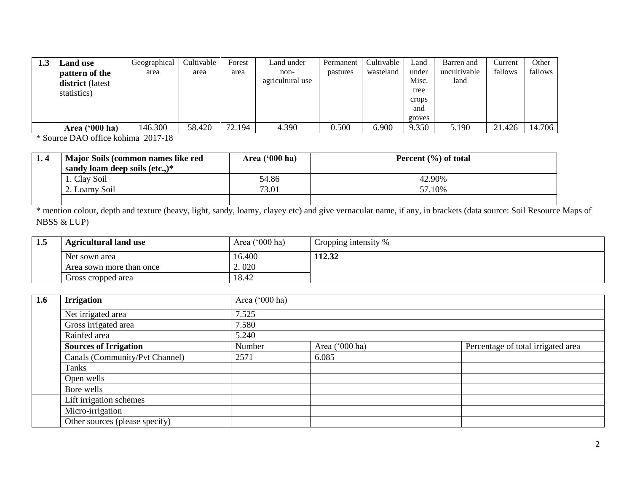| <b>Land use</b>                    | Geographical | Cultivable | Forest | Land under               | Permanent | Cultivable | Land           | Barren and           | Current | Other   |
|------------------------------------|--------------|------------|--------|--------------------------|-----------|------------|----------------|----------------------|---------|---------|
| pattern of the<br>district (latest | area         | area       | area   | non-<br>agricultural use | pastures  | wasteland  | under<br>Misc. | uncultivable<br>land | fallows | fallows |
| statistics)                        |              |            |        |                          |           |            | tree           |                      |         |         |
|                                    |              |            |        |                          |           |            | crops<br>and   |                      |         |         |
|                                    |              |            |        |                          |           |            | groves         |                      |         |         |
| Area ('000 ha)                     | 146.300      | 58.420     | 72.194 | 4.390                    | 0.500     | 6.900      | 9.350          | 5.190                | 21.426  | 14.706  |

\* Source DAO office kohima 2017-18

| Major Soils (common names like red | Area ('000 ha) | Percent $(\% )$ of total |
|------------------------------------|----------------|--------------------------|
| sandy loam deep soils (etc.,) $*$  |                |                          |
| 1. Clay Soil                       | 54.86          | 42.90%                   |
| 2. Loamy Soil                      | 73.01          | 57.10%                   |
|                                    |                |                          |

\* mention colour, depth and texture (heavy, light, sandy, loamy, clayey etc) and give vernacular name, if any, in brackets (data source: Soil Resource Maps of NBSS & LUP)

| 1.5 | <b>Agricultural land use</b> | Area $('000 ha)$ | Cropping intensity % |
|-----|------------------------------|------------------|----------------------|
|     | Net sown area                | 16.400           | 112.32               |
|     | Area sown more than once     | 2.020            |                      |
|     | Gross cropped area           | 18.42            |                      |

| 1.6 | <b>Irrigation</b>              | Area ('000 ha) |                |                                    |
|-----|--------------------------------|----------------|----------------|------------------------------------|
|     | Net irrigated area             | 7.525          |                |                                    |
|     | Gross irrigated area           | 7.580          |                |                                    |
|     | Rainfed area                   | 5.240          |                |                                    |
|     | <b>Sources of Irrigation</b>   | Number         | Area ('000 ha) | Percentage of total irrigated area |
|     | Canals (Community/Pvt Channel) | 2571           | 6.085          |                                    |
|     | Tanks                          |                |                |                                    |
|     | Open wells                     |                |                |                                    |
|     | Bore wells                     |                |                |                                    |
|     | Lift irrigation schemes        |                |                |                                    |
|     | Micro-irrigation               |                |                |                                    |
|     | Other sources (please specify) |                |                |                                    |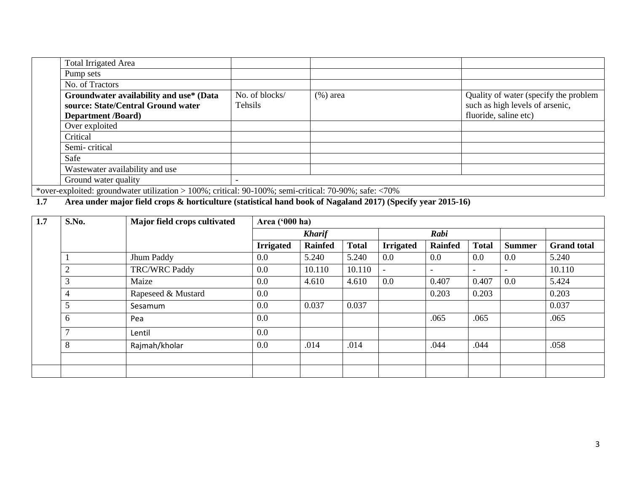| <b>Total Irrigated Area</b>                                                                           |                          |              |                                       |
|-------------------------------------------------------------------------------------------------------|--------------------------|--------------|---------------------------------------|
| Pump sets                                                                                             |                          |              |                                       |
| No. of Tractors                                                                                       |                          |              |                                       |
| Groundwater availability and use* (Data                                                               | No. of blocks/           | $(\% )$ area | Quality of water (specify the problem |
| source: State/Central Ground water                                                                    | Tehsils                  |              | such as high levels of arsenic,       |
| <b>Department /Board)</b>                                                                             |                          |              | fluoride, saline etc)                 |
| Over exploited                                                                                        |                          |              |                                       |
| Critical                                                                                              |                          |              |                                       |
| Semi-critical                                                                                         |                          |              |                                       |
| Safe                                                                                                  |                          |              |                                       |
| Wastewater availability and use                                                                       |                          |              |                                       |
| Ground water quality                                                                                  | $\overline{\phantom{0}}$ |              |                                       |
| *over-exploited: groundwater utilization > 100%; critical: 90-100%; semi-critical: 70-90%; safe: <70% |                          |              |                                       |

## **1.7 Area under major field crops & horticulture (statistical hand book of Nagaland 2017) (Specify year 2015-16)**

| 1.7 | S.No. | Major field crops cultivated | Area ('000 ha)   |                |              |                  |                          |                          |                          |                    |
|-----|-------|------------------------------|------------------|----------------|--------------|------------------|--------------------------|--------------------------|--------------------------|--------------------|
|     |       |                              |                  | <b>Kharif</b>  |              |                  | Rabi                     |                          |                          |                    |
|     |       |                              | <b>Irrigated</b> | <b>Rainfed</b> | <b>Total</b> | <b>Irrigated</b> | Rainfed                  | <b>Total</b>             | <b>Summer</b>            | <b>Grand</b> total |
|     |       | Jhum Paddy                   | 0.0              | 5.240          | 5.240        | 0.0              | $0.0\,$                  | $0.0\,$                  | $0.0\,$                  | 5.240              |
|     | ◠     | <b>TRC/WRC Paddy</b>         | 0.0              | 10.110         | 10.110       |                  | $\overline{\phantom{a}}$ | $\overline{\phantom{a}}$ | $\overline{\phantom{a}}$ | 10.110             |
|     | 3     | Maize                        | 0.0              | 4.610          | 4.610        | 0.0              | 0.407                    | 0.407                    | 0.0                      | 5.424              |
|     | 4     | Rapeseed & Mustard           | 0.0              |                |              |                  | 0.203                    | 0.203                    |                          | 0.203              |
|     | 5     | Sesamum                      | 0.0              | 0.037          | 0.037        |                  |                          |                          |                          | 0.037              |
|     | 6     | Pea                          | 0.0              |                |              |                  | .065                     | .065                     |                          | .065               |
|     | ⇁     | Lentil                       | 0.0              |                |              |                  |                          |                          |                          |                    |
|     | 8     | Rajmah/kholar                | 0.0              | .014           | .014         |                  | .044                     | .044                     |                          | .058               |
|     |       |                              |                  |                |              |                  |                          |                          |                          |                    |
|     |       |                              |                  |                |              |                  |                          |                          |                          |                    |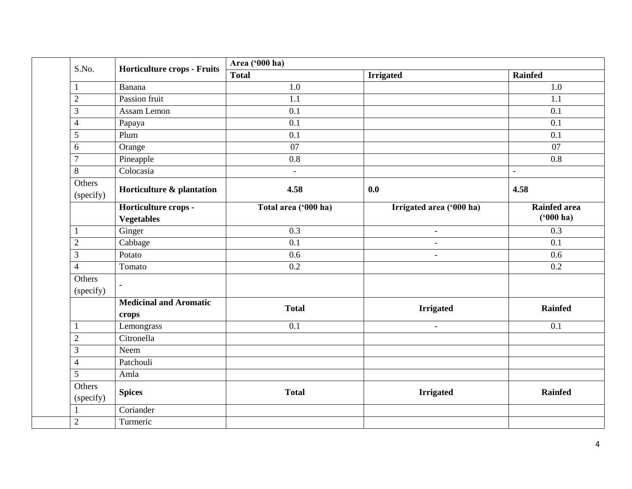| S.No.<br>$\mathbf{1}$<br>$\overline{2}$<br>$\mathfrak{Z}$<br>$\overline{4}$ | <b>Horticulture crops - Fruits</b><br>Banana | <b>Total</b>             | <b>Irrigated</b>         | Rainfed             |
|-----------------------------------------------------------------------------|----------------------------------------------|--------------------------|--------------------------|---------------------|
|                                                                             |                                              |                          |                          |                     |
|                                                                             |                                              | 1.0                      |                          | $1.0\,$             |
|                                                                             | Passion fruit                                | 1.1                      |                          | $\overline{1.1}$    |
|                                                                             | Assam Lemon                                  | 0.1                      |                          | 0.1                 |
|                                                                             | Papaya                                       | 0.1                      |                          | 0.1                 |
| 5                                                                           | Plum                                         | 0.1                      |                          | 0.1                 |
| 6                                                                           | Orange                                       | 07                       |                          | 07                  |
| $\overline{7}$                                                              | Pineapple                                    | $\overline{0.8}$         |                          | $\overline{0.8}$    |
| $8\,$                                                                       | Colocasia                                    | $\overline{\phantom{a}}$ |                          | $\blacksquare$      |
| Others<br>(specify)                                                         | Horticulture & plantation                    | 4.58                     | 0.0                      | 4.58                |
|                                                                             | Horticulture crops -                         | Total area ('000 ha)     | Irrigated area ('000 ha) | <b>Rainfed area</b> |
|                                                                             | <b>Vegetables</b>                            |                          |                          | $(900)$ ha)         |
| $\mathbf{1}$                                                                | Ginger                                       | 0.3                      | $\blacksquare$           | 0.3                 |
| $\sqrt{2}$                                                                  | Cabbage                                      | 0.1                      | $\overline{\phantom{a}}$ | 0.1                 |
| 3                                                                           | Potato                                       | 0.6                      | $\blacksquare$           | 0.6                 |
| $\overline{4}$                                                              | Tomato                                       | $\overline{0.2}$         |                          | 0.2                 |
| Others<br>(specify)                                                         | $\overline{\phantom{a}}$                     |                          |                          |                     |
|                                                                             | <b>Medicinal and Aromatic</b><br>crops       | <b>Total</b>             | <b>Irrigated</b>         | <b>Rainfed</b>      |
| 1                                                                           | Lemongrass                                   | 0.1                      | $\equiv$                 | 0.1                 |
| $\overline{2}$                                                              | Citronella                                   |                          |                          |                     |
| 3                                                                           | Neem                                         |                          |                          |                     |
| $\overline{4}$                                                              | Patchouli                                    |                          |                          |                     |
| $\overline{5}$                                                              | Amla                                         |                          |                          |                     |
| Others<br>(specify)                                                         | <b>Spices</b>                                | <b>Total</b>             | <b>Irrigated</b>         | <b>Rainfed</b>      |
|                                                                             | Coriander                                    |                          |                          |                     |
| $\overline{2}$                                                              | Turmeric                                     |                          |                          |                     |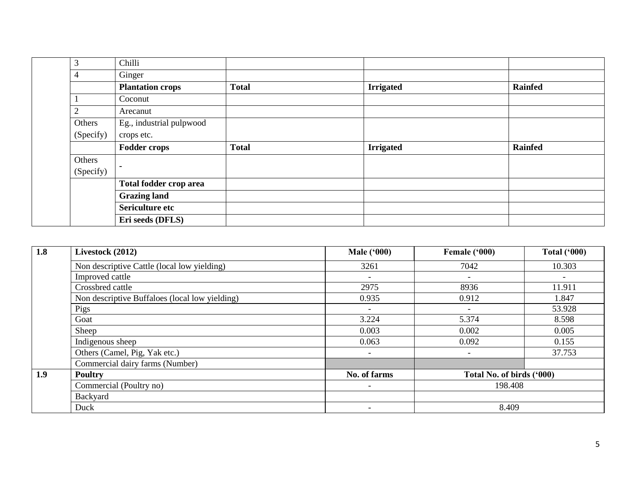| 3              | Chilli                   |              |                  |                |
|----------------|--------------------------|--------------|------------------|----------------|
| 4              | Ginger                   |              |                  |                |
|                | <b>Plantation crops</b>  | <b>Total</b> | <b>Irrigated</b> | <b>Rainfed</b> |
|                | Coconut                  |              |                  |                |
| $\overline{2}$ | Arecanut                 |              |                  |                |
| Others         | Eg., industrial pulpwood |              |                  |                |
| (Specify)      | crops etc.               |              |                  |                |
|                |                          |              |                  |                |
|                | <b>Fodder crops</b>      | <b>Total</b> | <b>Irrigated</b> | <b>Rainfed</b> |
| Others         |                          |              |                  |                |
| (Specify)      | $\blacksquare$           |              |                  |                |
|                | Total fodder crop area   |              |                  |                |
|                | <b>Grazing land</b>      |              |                  |                |
|                | Sericulture etc          |              |                  |                |

| 1.8 | Livestock (2012)                               | <b>Male ('000)</b>       | Female ('000)             | <b>Total ('000)</b> |
|-----|------------------------------------------------|--------------------------|---------------------------|---------------------|
|     | Non descriptive Cattle (local low yielding)    | 3261                     | 7042                      | 10.303              |
|     | Improved cattle                                | $\overline{\phantom{a}}$ | $\overline{\phantom{a}}$  |                     |
|     | Crossbred cattle                               | 2975                     | 8936                      | 11.911              |
|     | Non descriptive Buffaloes (local low yielding) | 0.935                    | 0.912                     | 1.847               |
|     | Pigs                                           | $\qquad \qquad -$        | $\qquad \qquad -$         | 53.928              |
|     | Goat                                           | 3.224                    | 5.374                     | 8.598               |
|     | Sheep                                          | 0.003                    | 0.002                     | 0.005               |
|     | Indigenous sheep                               | 0.063                    | 0.092                     | 0.155               |
|     | Others (Camel, Pig, Yak etc.)                  |                          |                           | 37.753              |
|     | Commercial dairy farms (Number)                |                          |                           |                     |
| 1.9 | <b>Poultry</b>                                 | No. of farms             | Total No. of birds ('000) |                     |
|     | Commercial (Poultry no)                        | $\overline{\phantom{0}}$ | 198.408                   |                     |
|     | Backyard                                       |                          |                           |                     |
|     | Duck                                           |                          | 8.409                     |                     |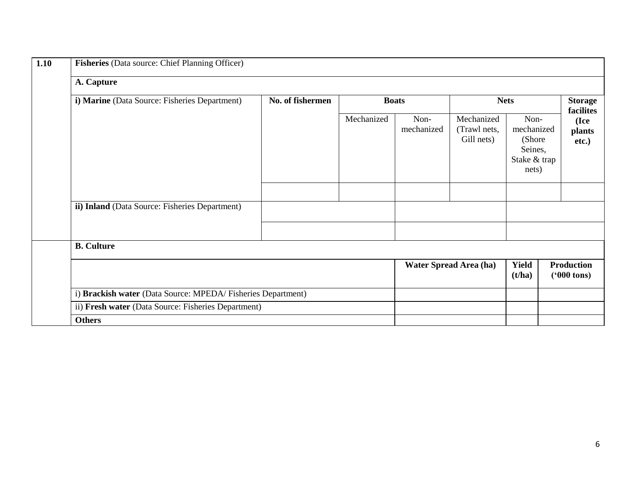| <b>Fisheries</b> (Data source: Chief Planning Officer)      |                  |            |                    |                                          |                                                                  |                                           |  |  |
|-------------------------------------------------------------|------------------|------------|--------------------|------------------------------------------|------------------------------------------------------------------|-------------------------------------------|--|--|
| A. Capture                                                  |                  |            |                    |                                          |                                                                  |                                           |  |  |
| i) Marine (Data Source: Fisheries Department)               | No. of fishermen |            | <b>Boats</b>       |                                          | <b>Nets</b>                                                      | <b>Storage</b><br>facilites               |  |  |
|                                                             |                  | Mechanized | Non-<br>mechanized | Mechanized<br>(Trawl nets,<br>Gill nets) | Non-<br>mechanized<br>(Shore<br>Seines,<br>Stake & trap<br>nets) | (Ice<br>plants<br>etc.)                   |  |  |
| ii) Inland (Data Source: Fisheries Department)              |                  |            |                    |                                          |                                                                  |                                           |  |  |
|                                                             |                  |            |                    |                                          |                                                                  |                                           |  |  |
|                                                             |                  |            |                    |                                          |                                                                  |                                           |  |  |
| <b>B.</b> Culture                                           |                  |            |                    |                                          |                                                                  |                                           |  |  |
|                                                             |                  |            |                    | Water Spread Area (ha)                   | <b>Yield</b><br>(t/ha)                                           | <b>Production</b><br>$(900 \text{ tons})$ |  |  |
| i) Brackish water (Data Source: MPEDA/Fisheries Department) |                  |            |                    |                                          |                                                                  |                                           |  |  |
| ii) Fresh water (Data Source: Fisheries Department)         |                  |            |                    |                                          |                                                                  |                                           |  |  |
| <b>Others</b>                                               |                  |            |                    |                                          |                                                                  |                                           |  |  |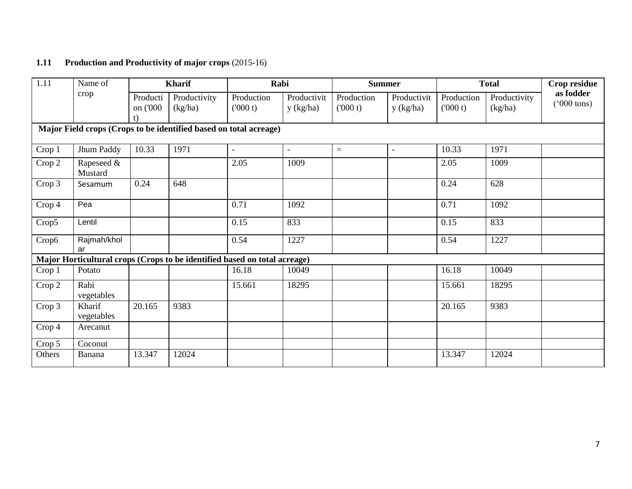### **1.11 Production and Productivity of major crops** (2015-16)

| 1.11   | Name of               |                            | <b>Kharif</b>                                                             |                       | Rabi                     |                       | <b>Summer</b>            |                       | <b>Total</b>            | Crop residue                      |
|--------|-----------------------|----------------------------|---------------------------------------------------------------------------|-----------------------|--------------------------|-----------------------|--------------------------|-----------------------|-------------------------|-----------------------------------|
|        | crop                  | Producti<br>on ('000<br>t) | Productivity<br>(kg/ha)                                                   | Production<br>(000 t) | Productivit<br>y (kg/ha) | Production<br>(000 t) | Productivit<br>y (kg/ha) | Production<br>(000 t) | Productivity<br>(kg/ha) | as fodder<br>$(000 \text{ tons})$ |
|        |                       |                            | Major Field crops (Crops to be identified based on total acreage)         |                       |                          |                       |                          |                       |                         |                                   |
| Crop 1 | Jhum Paddy            | 10.33                      | 1971                                                                      | $\blacksquare$        | $\blacksquare$           | $=$                   | $\overline{\phantom{a}}$ | 10.33                 | 1971                    |                                   |
| Crop 2 | Rapeseed &<br>Mustard |                            |                                                                           | 2.05                  | 1009                     |                       |                          | 2.05                  | 1009                    |                                   |
| Crop 3 | Sesamum               | 0.24                       | 648                                                                       |                       |                          |                       |                          | 0.24                  | 628                     |                                   |
| Crop 4 | Pea                   |                            |                                                                           | 0.71                  | 1092                     |                       |                          | 0.71                  | 1092                    |                                   |
| Crop5  | Lentil                |                            |                                                                           | 0.15                  | 833                      |                       |                          | 0.15                  | 833                     |                                   |
| Crop6  | Rajmah/khol<br>ar     |                            |                                                                           | 0.54                  | 1227                     |                       |                          | 0.54                  | 1227                    |                                   |
|        |                       |                            | Major Horticultural crops (Crops to be identified based on total acreage) |                       |                          |                       |                          |                       |                         |                                   |
| Crop 1 | Potato                |                            |                                                                           | 16.18                 | 10049                    |                       |                          | 16.18                 | 10049                   |                                   |
| Crop 2 | Rabi<br>vegetables    |                            |                                                                           | 15.661                | 18295                    |                       |                          | 15.661                | 18295                   |                                   |
| Crop 3 | Kharif<br>vegetables  | 20.165                     | 9383                                                                      |                       |                          |                       |                          | 20.165                | 9383                    |                                   |
| Crop 4 | Arecanut              |                            |                                                                           |                       |                          |                       |                          |                       |                         |                                   |
| Crop 5 | Coconut               |                            |                                                                           |                       |                          |                       |                          |                       |                         |                                   |
| Others | Banana                | 13.347                     | 12024                                                                     |                       |                          |                       |                          | 13.347                | 12024                   |                                   |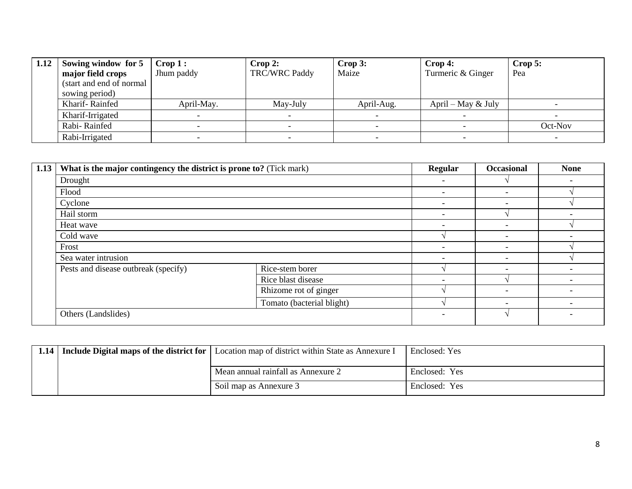| 1.12 | Sowing window for 5       | $\text{Crop } 1:$ | Crop 2:              | Crop 3:    | $\bf{Crop 4:}$       | $\bf{Crop}$ 5: |
|------|---------------------------|-------------------|----------------------|------------|----------------------|----------------|
|      | major field crops         | Jhum paddy        | <b>TRC/WRC Paddy</b> | Maize      | Turmeric & Ginger    | Pea            |
|      | (start and end of normal) |                   |                      |            |                      |                |
|      | sowing period)            |                   |                      |            |                      |                |
|      | Kharif-Rainfed            | April-May.        | May-July             | April-Aug. | April – May $&$ July |                |
|      | Kharif-Irrigated          |                   |                      |            |                      |                |
|      | Rabi-Rainfed              |                   |                      |            |                      | Oct-Nov        |
|      | Rabi-Irrigated            |                   |                      |            |                      |                |

| 1.13 | What is the major contingency the district is prone to? (Tick mark) | Regular                                     | <b>Occasional</b>        | <b>None</b>              |                          |
|------|---------------------------------------------------------------------|---------------------------------------------|--------------------------|--------------------------|--------------------------|
|      | Drought                                                             |                                             | $\overline{\phantom{0}}$ |                          | $\overline{\phantom{a}}$ |
|      | Flood                                                               |                                             |                          |                          |                          |
|      | Cyclone                                                             |                                             | $\overline{\phantom{0}}$ | $\overline{\phantom{0}}$ |                          |
|      | Hail storm                                                          | ۰                                           |                          |                          |                          |
|      | Heat wave                                                           | $\overline{\phantom{a}}$                    | $\overline{\phantom{a}}$ |                          |                          |
|      | Cold wave                                                           |                                             | $\overline{\phantom{0}}$ |                          |                          |
|      | Frost                                                               | $\overline{\phantom{0}}$                    |                          |                          |                          |
|      | Sea water intrusion                                                 |                                             | $\overline{\phantom{0}}$ |                          |                          |
|      | Pests and disease outbreak (specify)                                | Rice-stem borer                             |                          | $\overline{\phantom{a}}$ | $\overline{\phantom{a}}$ |
|      |                                                                     | Rice blast disease<br>Rhizome rot of ginger | $\overline{\phantom{0}}$ |                          | $\overline{\phantom{a}}$ |
|      |                                                                     |                                             |                          |                          |                          |
|      |                                                                     |                                             |                          |                          |                          |
|      | Others (Landslides)                                                 |                                             | ۰                        |                          |                          |

|  | 1.14 Include Digital maps of the district for Location map of district within State as Annexure I | Enclosed: Yes |
|--|---------------------------------------------------------------------------------------------------|---------------|
|  | Mean annual rainfall as Annexure 2                                                                | Enclosed: Yes |
|  | Soil map as Annexure 3                                                                            | Enclosed: Yes |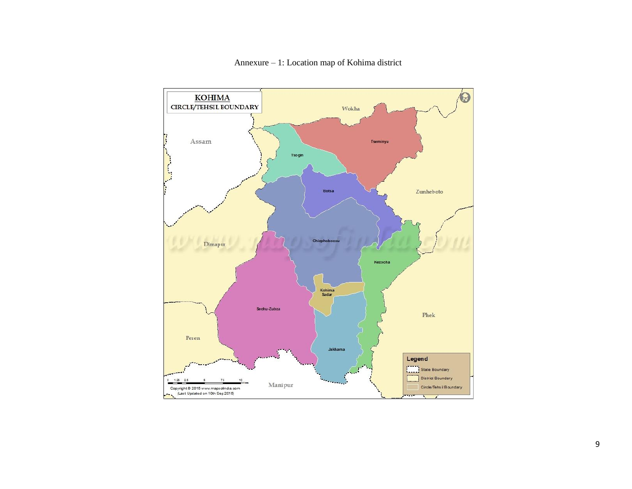

Annexure – 1: Location map of Kohima district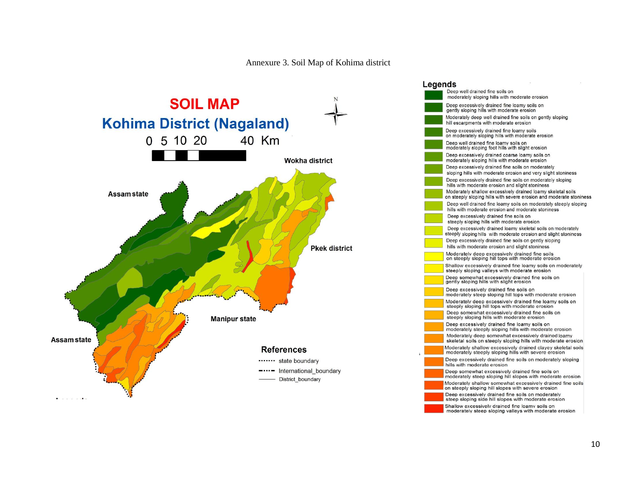#### Annexure 3. Soil Map of Kohima district



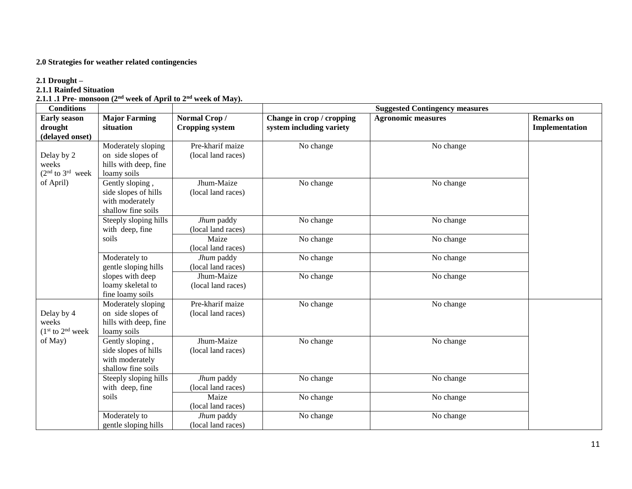#### **2.0 Strategies for weather related contingencies**

#### **2.1 Drought –**

#### **2.1.1 Rainfed Situation**

**2.1.1 .1 Pre- monsoon (2 nd week of April to 2 nd week of May).**

| <b>Conditions</b>                                 | <b>Suggested Contingency measures</b>                                            |                                        |                                                       |                           |                                            |
|---------------------------------------------------|----------------------------------------------------------------------------------|----------------------------------------|-------------------------------------------------------|---------------------------|--------------------------------------------|
| <b>Early season</b><br>drought<br>(delayed onset) | <b>Major Farming</b><br>situation                                                | Normal Crop/<br><b>Cropping system</b> | Change in crop / cropping<br>system including variety | <b>Agronomic measures</b> | <b>Remarks</b> on<br><b>Implementation</b> |
| Delay by 2<br>weeks<br>$(2nd$ to $3rd$ week       | Moderately sloping<br>on side slopes of<br>hills with deep, fine<br>loamy soils  | Pre-kharif maize<br>(local land races) | No change                                             | No change                 |                                            |
| of April)                                         | Gently sloping,<br>side slopes of hills<br>with moderately<br>shallow fine soils | Jhum-Maize<br>(local land races)       | No change                                             | No change                 |                                            |
|                                                   | Steeply sloping hills<br>with deep, fine                                         | Jhum paddy<br>(local land races)       | No change                                             | No change                 |                                            |
|                                                   | soils                                                                            | Maize<br>(local land races)            | No change                                             | No change                 |                                            |
|                                                   | Moderately to<br>gentle sloping hills                                            | Jhum paddy<br>(local land races)       | No change                                             | No change                 |                                            |
|                                                   | slopes with deep<br>loamy skeletal to<br>fine loamy soils                        | Jhum-Maize<br>(local land races)       | No change                                             | No change                 |                                            |
| Delay by 4<br>weeks<br>$(1st$ to $2nd$ week       | Moderately sloping<br>on side slopes of<br>hills with deep, fine<br>loamy soils  | Pre-kharif maize<br>(local land races) | No change                                             | No change                 |                                            |
| of May)                                           | Gently sloping,<br>side slopes of hills<br>with moderately<br>shallow fine soils | Jhum-Maize<br>(local land races)       | No change                                             | No change                 |                                            |
|                                                   | Steeply sloping hills<br>with deep, fine                                         | Jhum paddy<br>(local land races)       | No change                                             | No change                 |                                            |
|                                                   | soils                                                                            | Maize<br>(local land races)            | No change                                             | No change                 |                                            |
|                                                   | Moderately to<br>gentle sloping hills                                            | Jhum paddy<br>(local land races)       | No change                                             | No change                 |                                            |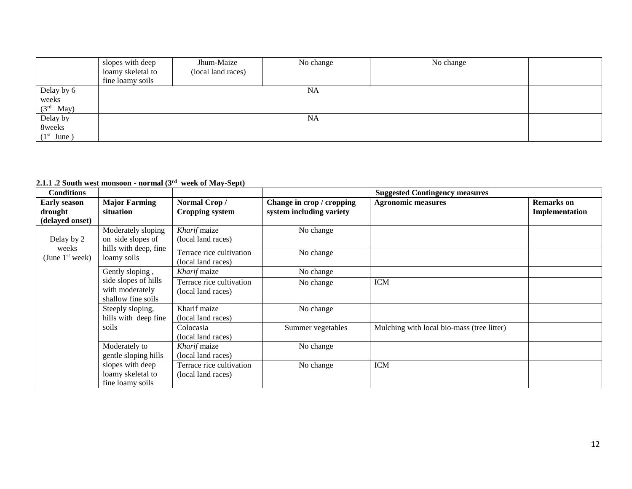|              | slopes with deep  | Jhum-Maize         | No change | No change |  |  |  |  |
|--------------|-------------------|--------------------|-----------|-----------|--|--|--|--|
|              | loamy skeletal to | (local land races) |           |           |  |  |  |  |
|              | fine loamy soils  |                    |           |           |  |  |  |  |
| Delay by 6   |                   | <b>NA</b>          |           |           |  |  |  |  |
| weeks        |                   |                    |           |           |  |  |  |  |
| $(3rd$ May)  |                   |                    |           |           |  |  |  |  |
| Delay by     |                   |                    | <b>NA</b> |           |  |  |  |  |
| 8weeks       |                   |                    |           |           |  |  |  |  |
| $(1st$ June) |                   |                    |           |           |  |  |  |  |

#### **2.1.1 .2 South west monsoon - normal (3 rd week of May-Sept)**

| <b>Conditions</b>                                 |                                                                                 |                                                |                                                       | <b>Suggested Contingency measures</b>      |                                     |
|---------------------------------------------------|---------------------------------------------------------------------------------|------------------------------------------------|-------------------------------------------------------|--------------------------------------------|-------------------------------------|
| <b>Early season</b><br>drought<br>(delayed onset) | <b>Major Farming</b><br>situation                                               | Normal Crop/<br><b>Cropping system</b>         | Change in crop / cropping<br>system including variety | <b>Agronomic measures</b>                  | <b>Remarks</b> on<br>Implementation |
| Delay by 2                                        | Moderately sloping<br>on side slopes of<br>hills with deep, fine<br>loamy soils | Kharif maize<br>(local land races)             | No change                                             |                                            |                                     |
| weeks<br>(June $1st$ week)                        |                                                                                 | Terrace rice cultivation<br>(local land races) | No change                                             |                                            |                                     |
|                                                   | Gently sloping,                                                                 | Kharif maize                                   | No change                                             |                                            |                                     |
|                                                   | side slopes of hills<br>with moderately<br>shallow fine soils                   | Terrace rice cultivation<br>(local land races) | No change                                             | <b>ICM</b>                                 |                                     |
|                                                   | Steeply sloping,<br>hills with deep fine                                        | Kharif maize<br>(local land races)             | No change                                             |                                            |                                     |
|                                                   | soils                                                                           | Colocasia<br>(local land races)                | Summer vegetables                                     | Mulching with local bio-mass (tree litter) |                                     |
|                                                   | Moderately to<br>gentle sloping hills                                           | Kharif maize<br>(local land races)             | No change                                             |                                            |                                     |
|                                                   | slopes with deep<br>loamy skeletal to<br>fine loamy soils                       | Terrace rice cultivation<br>(local land races) | No change                                             | <b>ICM</b>                                 |                                     |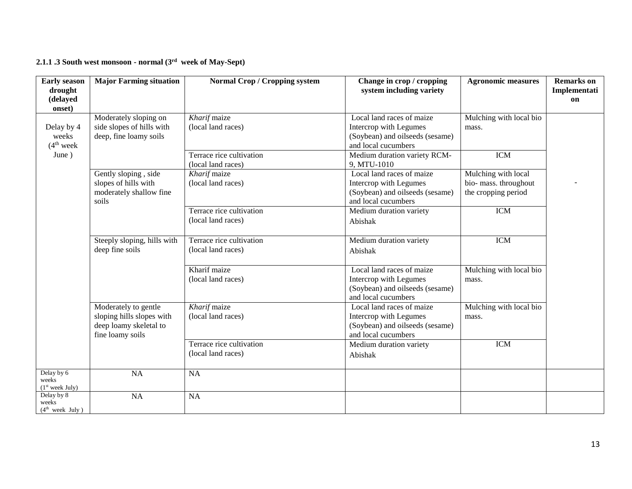#### **2.1.1 .3 South west monsoon - normal (3 rd week of May-Sept)**

| <b>Early season</b><br>drought                     | <b>Major Farming situation</b>                                                                  | <b>Normal Crop / Cropping system</b>           | Change in crop / cropping<br>system including variety                                                         | <b>Agronomic measures</b>                                           | <b>Remarks</b> on<br>Implementati |
|----------------------------------------------------|-------------------------------------------------------------------------------------------------|------------------------------------------------|---------------------------------------------------------------------------------------------------------------|---------------------------------------------------------------------|-----------------------------------|
| (delayed<br>onset)                                 |                                                                                                 |                                                |                                                                                                               |                                                                     | on                                |
| Delay by 4<br>weeks<br>(4 <sup>th</sup> week)      | Moderately sloping on<br>side slopes of hills with<br>deep, fine loamy soils                    | Kharif maize<br>(local land races)             | Local land races of maize<br>Intercrop with Legumes<br>(Soybean) and oilseeds (sesame)<br>and local cucumbers | Mulching with local bio<br>mass.                                    |                                   |
| June)                                              |                                                                                                 | Terrace rice cultivation<br>(local land races) | Medium duration variety RCM-<br>9, MTU-1010                                                                   | <b>ICM</b>                                                          |                                   |
|                                                    | Gently sloping, side<br>slopes of hills with<br>moderately shallow fine<br>soils                | Kharif maize<br>(local land races)             | Local land races of maize<br>Intercrop with Legumes<br>(Soybean) and oilseeds (sesame)<br>and local cucumbers | Mulching with local<br>bio- mass. throughout<br>the cropping period |                                   |
|                                                    |                                                                                                 | Terrace rice cultivation<br>(local land races) | Medium duration variety<br>Abishak                                                                            | <b>ICM</b>                                                          |                                   |
|                                                    | Steeply sloping, hills with<br>deep fine soils                                                  | Terrace rice cultivation<br>(local land races) | Medium duration variety<br>Abishak                                                                            | <b>ICM</b>                                                          |                                   |
|                                                    |                                                                                                 | Kharif maize<br>(local land races)             | Local land races of maize<br>Intercrop with Legumes<br>(Soybean) and oilseeds (sesame)<br>and local cucumbers | Mulching with local bio<br>mass.                                    |                                   |
|                                                    | Moderately to gentle<br>sloping hills slopes with<br>deep loamy skeletal to<br>fine loamy soils | Kharif maize<br>(local land races)             | Local land races of maize<br>Intercrop with Legumes<br>(Soybean) and oilseeds (sesame)<br>and local cucumbers | Mulching with local bio<br>mass.                                    |                                   |
|                                                    |                                                                                                 | Terrace rice cultivation<br>(local land races) | Medium duration variety<br>Abishak                                                                            | <b>ICM</b>                                                          |                                   |
| Delay by 6<br>weeks<br>(1 <sup>st</sup> week July) | <b>NA</b>                                                                                       | NA                                             |                                                                                                               |                                                                     |                                   |
| Delay by 8<br>weeks<br>(4 <sup>th</sup> week July) | <b>NA</b>                                                                                       | <b>NA</b>                                      |                                                                                                               |                                                                     |                                   |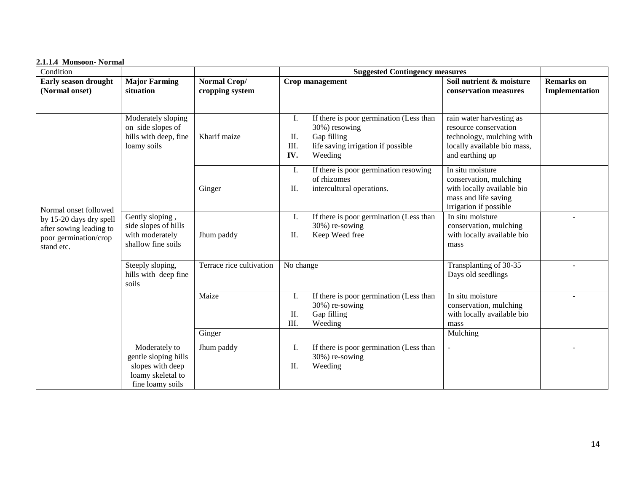#### **2.1.1.4 Monsoon- Normal**

| Condition                                                                                 |                                                                                                    |                                 | <b>Suggested Contingency measures</b>                                                                                                                |                                                                                                                                  |                                     |
|-------------------------------------------------------------------------------------------|----------------------------------------------------------------------------------------------------|---------------------------------|------------------------------------------------------------------------------------------------------------------------------------------------------|----------------------------------------------------------------------------------------------------------------------------------|-------------------------------------|
| Early season drought<br>(Normal onset)                                                    | <b>Major Farming</b><br>situation                                                                  | Normal Crop/<br>cropping system | Crop management                                                                                                                                      | Soil nutrient & moisture<br>conservation measures                                                                                | <b>Remarks</b> on<br>Implementation |
|                                                                                           | Moderately sloping<br>on side slopes of<br>hills with deep, fine<br>loamy soils                    | Kharif maize                    | If there is poor germination (Less than<br>Ι.<br>30%) resowing<br>Gap filling<br>II.<br>III.<br>life saving irrigation if possible<br>IV.<br>Weeding | rain water harvesting as<br>resource conservation<br>technology, mulching with<br>locally available bio mass,<br>and earthing up |                                     |
| Normal onset followed                                                                     |                                                                                                    | Ginger                          | If there is poor germination resowing<br>Ι.<br>of rhizomes<br>intercultural operations.<br>II.                                                       | In situ moisture<br>conservation, mulching<br>with locally available bio<br>mass and life saving<br>irrigation if possible       |                                     |
| by 15-20 days dry spell<br>after sowing leading to<br>poor germination/crop<br>stand etc. | Gently sloping,<br>side slopes of hills<br>with moderately<br>shallow fine soils                   | Jhum paddy                      | I.<br>If there is poor germination (Less than<br>30%) re-sowing<br>Keep Weed free<br>II.                                                             | In situ moisture<br>conservation, mulching<br>with locally available bio<br>mass                                                 |                                     |
|                                                                                           | Terrace rice cultivation<br>Steeply sloping,<br>hills with deep fine<br>soils                      |                                 | No change                                                                                                                                            | Transplanting of 30-35<br>Days old seedlings                                                                                     |                                     |
|                                                                                           |                                                                                                    | Maize<br>Ginger                 | If there is poor germination (Less than<br>Ι.<br>30%) re-sowing<br>Gap filling<br>II.<br>III.<br>Weeding                                             | In situ moisture<br>conservation, mulching<br>with locally available bio<br>mass<br>Mulching                                     |                                     |
|                                                                                           | Moderately to<br>gentle sloping hills<br>slopes with deep<br>loamy skeletal to<br>fine loamy soils | Jhum paddy                      | If there is poor germination (Less than<br>Ι.<br>30%) re-sowing<br>Weeding<br>II.                                                                    |                                                                                                                                  |                                     |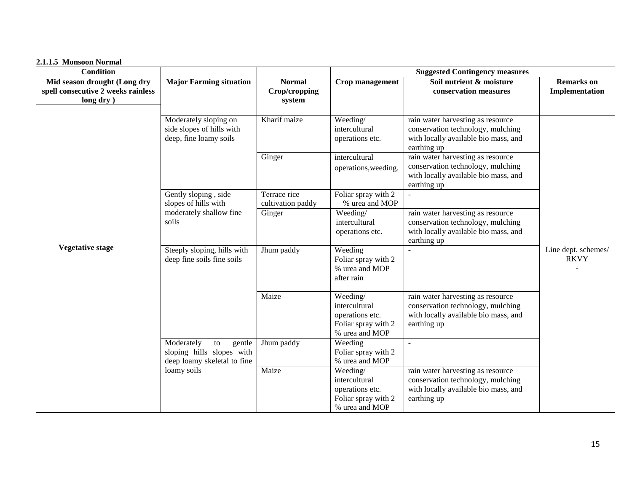| <b>Condition</b>                                                                |                                                                                                  |                                          | <b>Suggested Contingency measures</b>                                                 |                                                                                                                               |                                     |  |  |
|---------------------------------------------------------------------------------|--------------------------------------------------------------------------------------------------|------------------------------------------|---------------------------------------------------------------------------------------|-------------------------------------------------------------------------------------------------------------------------------|-------------------------------------|--|--|
| Mid season drought (Long dry<br>spell consecutive 2 weeks rainless<br>long dry) | <b>Major Farming situation</b>                                                                   | <b>Normal</b><br>Crop/cropping<br>system | Crop management                                                                       | Soil nutrient & moisture<br>conservation measures                                                                             | <b>Remarks</b> on<br>Implementation |  |  |
|                                                                                 | Moderately sloping on<br>side slopes of hills with<br>deep, fine loamy soils                     | Kharif maize                             | Weeding/<br>intercultural<br>operations etc.                                          | rain water harvesting as resource<br>conservation technology, mulching<br>with locally available bio mass, and<br>earthing up |                                     |  |  |
|                                                                                 |                                                                                                  | Ginger                                   | intercultural<br>operations, weeding.                                                 | rain water harvesting as resource<br>conservation technology, mulching<br>with locally available bio mass, and<br>earthing up |                                     |  |  |
|                                                                                 | Gently sloping, side<br>slopes of hills with                                                     | Terrace rice<br>cultivation paddy        | Foliar spray with 2<br>% urea and MOP                                                 |                                                                                                                               |                                     |  |  |
|                                                                                 | moderately shallow fine<br>soils                                                                 | Ginger                                   | Weeding/<br>intercultural<br>operations etc.                                          | rain water harvesting as resource<br>conservation technology, mulching<br>with locally available bio mass, and<br>earthing up |                                     |  |  |
| <b>Vegetative stage</b>                                                         | Steeply sloping, hills with<br>deep fine soils fine soils                                        | Jhum paddy                               | Weeding<br>Foliar spray with 2<br>% urea and MOP<br>after rain                        |                                                                                                                               | Line dept. schemes/<br><b>RKVY</b>  |  |  |
|                                                                                 |                                                                                                  | Maize                                    | Weeding/<br>intercultural<br>operations etc.<br>Foliar spray with 2<br>% urea and MOP | rain water harvesting as resource<br>conservation technology, mulching<br>with locally available bio mass, and<br>earthing up |                                     |  |  |
|                                                                                 | Moderately<br>$\,$ to $\,$<br>gentle<br>sloping hills slopes with<br>deep loamy skeletal to fine | Jhum paddy                               | Weeding<br>Foliar spray with 2<br>% urea and MOP                                      |                                                                                                                               |                                     |  |  |
|                                                                                 | loamy soils                                                                                      | Maize                                    | Weeding/<br>intercultural<br>operations etc.<br>Foliar spray with 2<br>% urea and MOP | rain water harvesting as resource<br>conservation technology, mulching<br>with locally available bio mass, and<br>earthing up |                                     |  |  |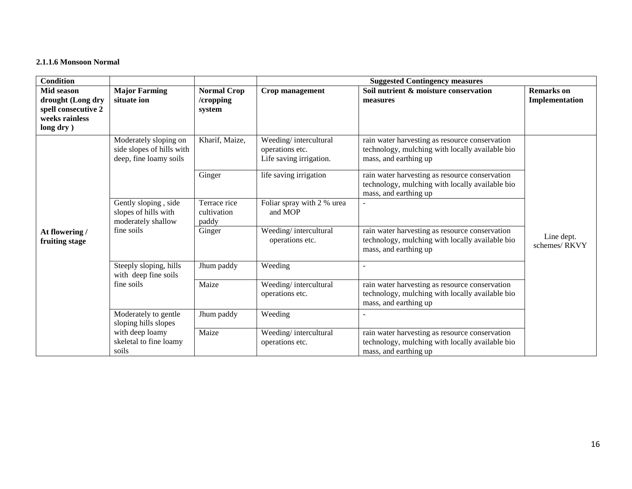#### **2.1.1.6 Monsoon Normal**

| <b>Condition</b>                                                                      |                                                                                  |                                           | <b>Suggested Contingency measures</b>                               |                                                                                                                            |                                     |  |  |  |
|---------------------------------------------------------------------------------------|----------------------------------------------------------------------------------|-------------------------------------------|---------------------------------------------------------------------|----------------------------------------------------------------------------------------------------------------------------|-------------------------------------|--|--|--|
| Mid season<br>drought (Long dry<br>spell consecutive 2<br>weeks rainless<br>long dry) | <b>Major Farming</b><br>situate ion                                              | <b>Normal Crop</b><br>/cropping<br>system | Crop management                                                     | Soil nutrient & moisture conservation<br>measures                                                                          | <b>Remarks</b> on<br>Implementation |  |  |  |
|                                                                                       | Moderately sloping on<br>side slopes of hills with<br>deep, fine loamy soils     | Kharif, Maize,                            | Weeding/intercultural<br>operations etc.<br>Life saving irrigation. | rain water harvesting as resource conservation<br>technology, mulching with locally available bio<br>mass, and earthing up |                                     |  |  |  |
|                                                                                       |                                                                                  | Ginger                                    | life saving irrigation                                              | rain water harvesting as resource conservation<br>technology, mulching with locally available bio<br>mass, and earthing up |                                     |  |  |  |
|                                                                                       | Gently sloping, side<br>slopes of hills with<br>moderately shallow<br>fine soils | Terrace rice<br>cultivation<br>paddy      | Foliar spray with 2 % urea<br>and MOP                               |                                                                                                                            |                                     |  |  |  |
| At flowering /<br>fruiting stage                                                      |                                                                                  | Ginger                                    | Weeding/intercultural<br>operations etc.                            | rain water harvesting as resource conservation<br>technology, mulching with locally available bio<br>mass, and earthing up | Line dept.<br>schemes/RKVY          |  |  |  |
|                                                                                       | Steeply sloping, hills<br>with deep fine soils                                   | Jhum paddy                                | Weeding                                                             | $\sim$                                                                                                                     |                                     |  |  |  |
|                                                                                       | fine soils                                                                       | Maize                                     | Weeding/intercultural<br>operations etc.                            | rain water harvesting as resource conservation<br>technology, mulching with locally available bio<br>mass, and earthing up |                                     |  |  |  |
|                                                                                       | Moderately to gentle<br>sloping hills slopes                                     | Jhum paddy                                | Weeding                                                             |                                                                                                                            |                                     |  |  |  |
|                                                                                       | with deep loamy<br>skeletal to fine loamy<br>soils                               | Maize                                     | Weeding/intercultural<br>operations etc.                            | rain water harvesting as resource conservation<br>technology, mulching with locally available bio<br>mass, and earthing up |                                     |  |  |  |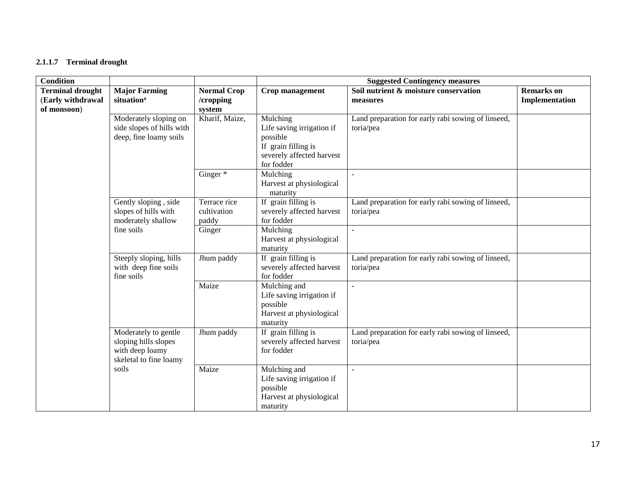#### **2.1.1.7 Terminal drought**

| <b>Condition</b>                                            |                                                                                           |                                           | <b>Suggested Contingency measures</b>                                                                               |                                                                 |                                     |
|-------------------------------------------------------------|-------------------------------------------------------------------------------------------|-------------------------------------------|---------------------------------------------------------------------------------------------------------------------|-----------------------------------------------------------------|-------------------------------------|
| <b>Terminal drought</b><br>(Early withdrawal<br>of monsoon) | <b>Major Farming</b><br>situation <sup>a</sup>                                            | <b>Normal Crop</b><br>/cropping<br>system | Crop management                                                                                                     | Soil nutrient & moisture conservation<br>measures               | <b>Remarks</b> on<br>Implementation |
|                                                             | Moderately sloping on<br>side slopes of hills with<br>deep, fine loamy soils              | Kharif, Maize,                            | Mulching<br>Life saving irrigation if<br>possible<br>If grain filling is<br>severely affected harvest<br>for fodder | Land preparation for early rabi sowing of linseed,<br>toria/pea |                                     |
|                                                             |                                                                                           | Ginger <sup>*</sup>                       | Mulching<br>Harvest at physiological<br>maturity                                                                    |                                                                 |                                     |
|                                                             | Gently sloping, side<br>slopes of hills with<br>moderately shallow                        | Terrace rice<br>cultivation<br>paddy      | If grain filling is<br>severely affected harvest<br>for fodder                                                      | Land preparation for early rabi sowing of linseed,<br>toria/pea |                                     |
|                                                             | fine soils                                                                                | Ginger                                    | Mulching<br>Harvest at physiological<br>maturity                                                                    | $\blacksquare$                                                  |                                     |
|                                                             | Steeply sloping, hills<br>with deep fine soils<br>fine soils                              | Jhum paddy                                | If grain filling is<br>severely affected harvest<br>for fodder                                                      | Land preparation for early rabi sowing of linseed,<br>toria/pea |                                     |
|                                                             |                                                                                           | Maize                                     | Mulching and<br>Life saving irrigation if<br>possible<br>Harvest at physiological<br>maturity                       | $\sim$                                                          |                                     |
|                                                             | Moderately to gentle<br>sloping hills slopes<br>with deep loamy<br>skeletal to fine loamy | Jhum paddy                                | If grain filling is<br>severely affected harvest<br>for fodder                                                      | Land preparation for early rabi sowing of linseed,<br>toria/pea |                                     |
|                                                             | soils                                                                                     | Maize                                     | Mulching and<br>Life saving irrigation if<br>possible<br>Harvest at physiological<br>maturity                       | $\overline{\phantom{a}}$                                        |                                     |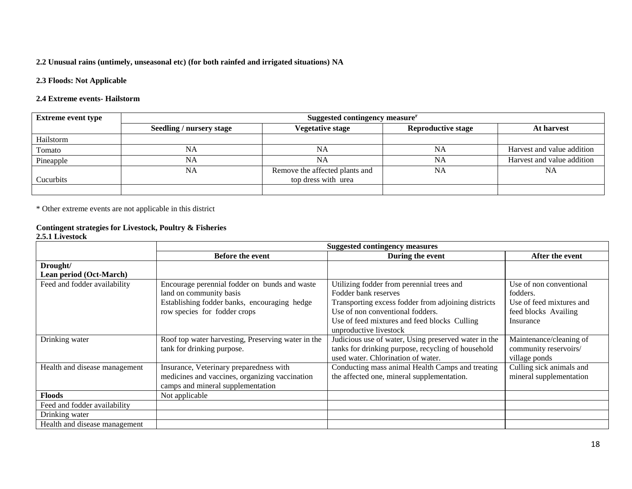#### **2.2 Unusual rains (untimely, unseasonal etc) (for both rainfed and irrigated situations) NA**

#### **2.3 Floods: Not Applicable**

#### **2.4 Extreme events- Hailstorm**

| <b>Extreme event type</b> | Suggested contingency measure <sup>r</sup> |                                |                           |                            |
|---------------------------|--------------------------------------------|--------------------------------|---------------------------|----------------------------|
|                           | <b>Seedling / nursery stage</b>            | <b>Vegetative stage</b>        | <b>Reproductive stage</b> | At harvest                 |
| Hailstorm                 |                                            |                                |                           |                            |
| Tomato                    | NA                                         | NA                             | <b>NA</b>                 | Harvest and value addition |
| Pineapple                 | NA                                         | NA                             | NA                        | Harvest and value addition |
|                           | NA                                         | Remove the affected plants and | NA                        | <b>NA</b>                  |
| Cucurbits                 |                                            | top dress with urea            |                           |                            |
|                           |                                            |                                |                           |                            |

\* Other extreme events are not applicable in this district

### **Contingent strategies for Livestock, Poultry & Fisheries**

#### **2.5.1 Livestock**

|                               | <b>Suggested contingency measures</b>              |                                                      |                          |  |
|-------------------------------|----------------------------------------------------|------------------------------------------------------|--------------------------|--|
|                               | <b>Before the event</b>                            | During the event                                     | After the event          |  |
| Drought/                      |                                                    |                                                      |                          |  |
| Lean period (Oct-March)       |                                                    |                                                      |                          |  |
| Feed and fodder availability  | Encourage perennial fodder on bunds and waste      | Utilizing fodder from perennial trees and            | Use of non conventional  |  |
|                               | land on community basis                            | Fodder bank reserves                                 | fodders.                 |  |
|                               | Establishing fodder banks, encouraging hedge       | Transporting excess fodder from adjoining districts  | Use of feed mixtures and |  |
|                               | row species for fodder crops                       | Use of non conventional fodders.                     | feed blocks Availing     |  |
|                               |                                                    | Use of feed mixtures and feed blocks Culling         | Insurance                |  |
|                               |                                                    | unproductive livestock                               |                          |  |
| Drinking water                | Roof top water harvesting, Preserving water in the | Judicious use of water, Using preserved water in the | Maintenance/cleaning of  |  |
|                               | tank for drinking purpose.                         | tanks for drinking purpose, recycling of household   | community reservoirs/    |  |
|                               |                                                    | used water. Chlorination of water.                   | village ponds            |  |
| Health and disease management | Insurance, Veterinary preparedness with            | Conducting mass animal Health Camps and treating     | Culling sick animals and |  |
|                               | medicines and vaccines, organizing vaccination     | the affected one, mineral supplementation.           | mineral supplementation  |  |
|                               | camps and mineral supplementation                  |                                                      |                          |  |
| <b>Floods</b>                 | Not applicable                                     |                                                      |                          |  |
| Feed and fodder availability  |                                                    |                                                      |                          |  |
| Drinking water                |                                                    |                                                      |                          |  |
| Health and disease management |                                                    |                                                      |                          |  |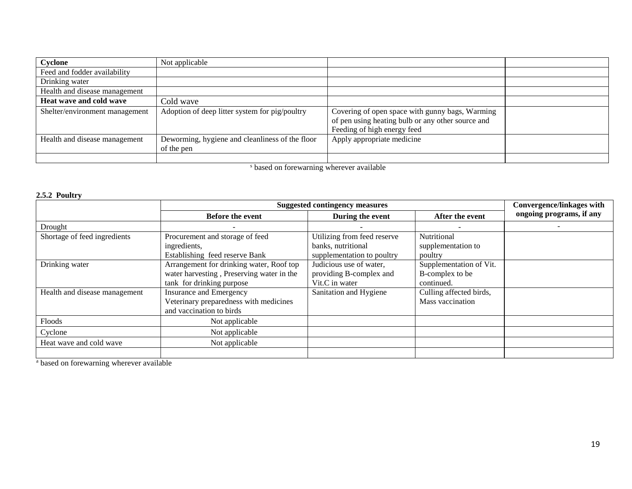| Cyclone                        | Not applicable                                                |                                                                                                                                     |  |
|--------------------------------|---------------------------------------------------------------|-------------------------------------------------------------------------------------------------------------------------------------|--|
| Feed and fodder availability   |                                                               |                                                                                                                                     |  |
| Drinking water                 |                                                               |                                                                                                                                     |  |
| Health and disease management  |                                                               |                                                                                                                                     |  |
| Heat wave and cold wave        | Cold wave                                                     |                                                                                                                                     |  |
| Shelter/environment management | Adoption of deep litter system for pig/poultry                | Covering of open space with gunny bags, Warming<br>of pen using heating bulb or any other source and<br>Feeding of high energy feed |  |
| Health and disease management  | Deworming, hygiene and cleanliness of the floor<br>of the pen | Apply appropriate medicine                                                                                                          |  |
|                                | $\sim$ $\sim$ $\sim$ $\sim$ $\sim$                            | $\cdots$                                                                                                                            |  |

<sup>s</sup> based on forewarning wherever available

#### **2.5.2 Poultry**

|                               | <b>Suggested contingency measures</b>     |                             |                         | <b>Convergence/linkages with</b> |
|-------------------------------|-------------------------------------------|-----------------------------|-------------------------|----------------------------------|
|                               | <b>Before the event</b>                   | During the event            | After the event         | ongoing programs, if any         |
| Drought                       |                                           |                             |                         |                                  |
| Shortage of feed ingredients  | Procurement and storage of feed           | Utilizing from feed reserve | Nutritional             |                                  |
|                               | ingredients,                              | banks, nutritional          | supplementation to      |                                  |
|                               | Establishing feed reserve Bank            | supplementation to poultry  | poultry                 |                                  |
| Drinking water                | Arrangement for drinking water, Roof top  | Judicious use of water,     | Supplementation of Vit. |                                  |
|                               | water harvesting, Preserving water in the | providing B-complex and     | B-complex to be         |                                  |
|                               | tank for drinking purpose                 | Vit.C in water              | continued.              |                                  |
| Health and disease management | <b>Insurance and Emergency</b>            | Sanitation and Hygiene      | Culling affected birds, |                                  |
|                               | Veterinary preparedness with medicines    |                             | Mass vaccination        |                                  |
|                               | and vaccination to birds                  |                             |                         |                                  |
| Floods                        | Not applicable                            |                             |                         |                                  |
| Cyclone                       | Not applicable                            |                             |                         |                                  |
| Heat wave and cold wave       | Not applicable                            |                             |                         |                                  |
|                               |                                           |                             |                         |                                  |

<sup>a</sup> based on forewarning wherever available